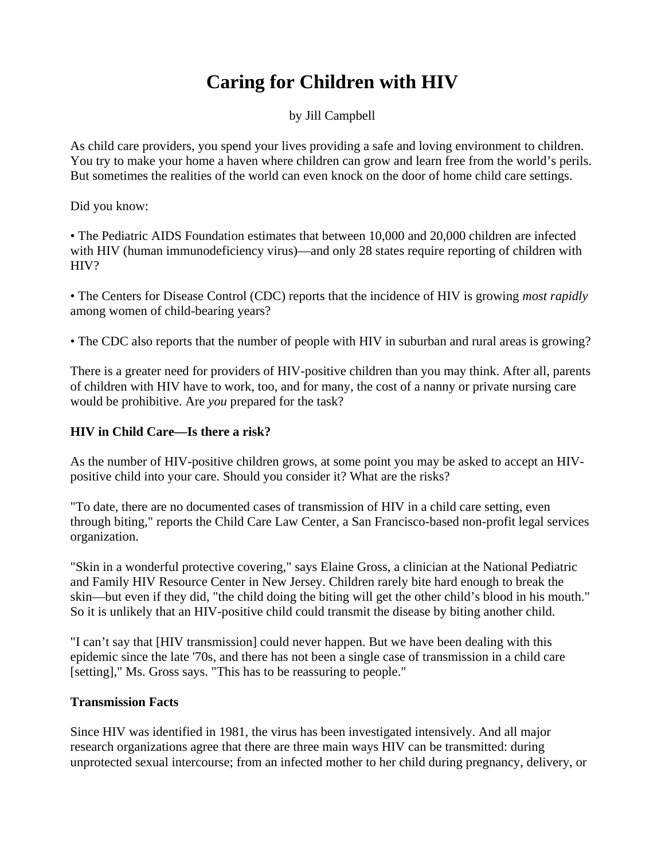# **Caring for Children with HIV**

by Jill Campbell

As child care providers, you spend your lives providing a safe and loving environment to children. You try to make your home a haven where children can grow and learn free from the world's perils. But sometimes the realities of the world can even knock on the door of home child care settings.

Did you know:

• The Pediatric AIDS Foundation estimates that between 10,000 and 20,000 children are infected with HIV (human immunodeficiency virus)—and only 28 states require reporting of children with HIV?

• The Centers for Disease Control (CDC) reports that the incidence of HIV is growing *most rapidly* among women of child-bearing years?

• The CDC also reports that the number of people with HIV in suburban and rural areas is growing?

There is a greater need for providers of HIV-positive children than you may think. After all, parents of children with HIV have to work, too, and for many, the cost of a nanny or private nursing care would be prohibitive. Are *you* prepared for the task?

# **HIV in Child Care—Is there a risk?**

As the number of HIV-positive children grows, at some point you may be asked to accept an HIVpositive child into your care. Should you consider it? What are the risks?

"To date, there are no documented cases of transmission of HIV in a child care setting, even through biting," reports the Child Care Law Center, a San Francisco-based non-profit legal services organization.

"Skin in a wonderful protective covering," says Elaine Gross, a clinician at the National Pediatric and Family HIV Resource Center in New Jersey. Children rarely bite hard enough to break the skin—but even if they did, "the child doing the biting will get the other child's blood in his mouth." So it is unlikely that an HIV-positive child could transmit the disease by biting another child.

"I can't say that [HIV transmission] could never happen. But we have been dealing with this epidemic since the late '70s, and there has not been a single case of transmission in a child care [setting]," Ms. Gross says. "This has to be reassuring to people."

# **Transmission Facts**

Since HIV was identified in 1981, the virus has been investigated intensively. And all major research organizations agree that there are three main ways HIV can be transmitted: during unprotected sexual intercourse; from an infected mother to her child during pregnancy, delivery, or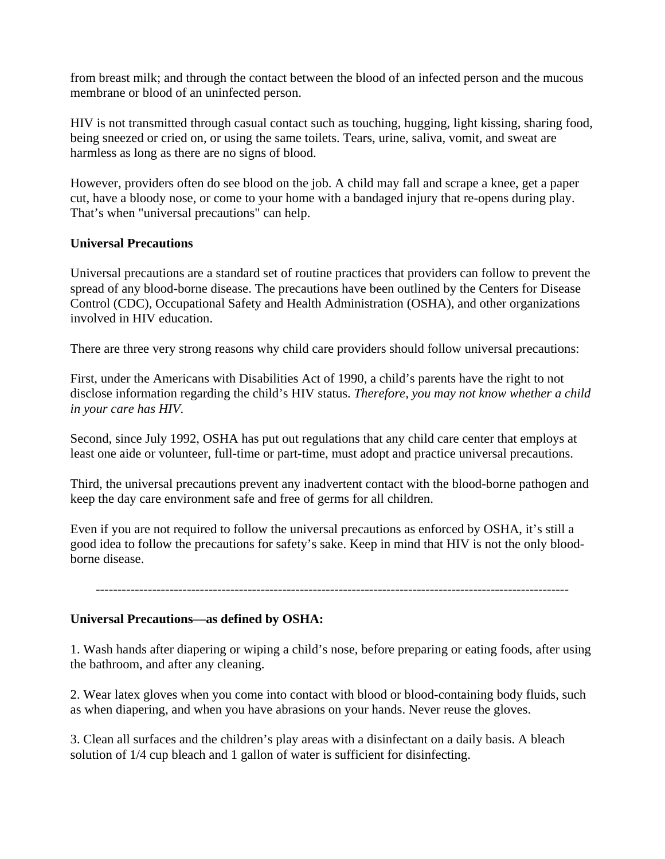from breast milk; and through the contact between the blood of an infected person and the mucous membrane or blood of an uninfected person.

HIV is not transmitted through casual contact such as touching, hugging, light kissing, sharing food, being sneezed or cried on, or using the same toilets. Tears, urine, saliva, vomit, and sweat are harmless as long as there are no signs of blood.

However, providers often do see blood on the job. A child may fall and scrape a knee, get a paper cut, have a bloody nose, or come to your home with a bandaged injury that re-opens during play. That's when "universal precautions" can help.

#### **Universal Precautions**

Universal precautions are a standard set of routine practices that providers can follow to prevent the spread of any blood-borne disease. The precautions have been outlined by the Centers for Disease Control (CDC), Occupational Safety and Health Administration (OSHA), and other organizations involved in HIV education.

There are three very strong reasons why child care providers should follow universal precautions:

First, under the Americans with Disabilities Act of 1990, a child's parents have the right to not disclose information regarding the child's HIV status. *Therefore, you may not know whether a child in your care has HIV*.

Second, since July 1992, OSHA has put out regulations that any child care center that employs at least one aide or volunteer, full-time or part-time, must adopt and practice universal precautions.

Third, the universal precautions prevent any inadvertent contact with the blood-borne pathogen and keep the day care environment safe and free of germs for all children.

Even if you are not required to follow the universal precautions as enforced by OSHA, it's still a good idea to follow the precautions for safety's sake. Keep in mind that HIV is not the only bloodborne disease.

-------------------------------------------------------------------------------------------------------------

#### **Universal Precautions—as defined by OSHA:**

1. Wash hands after diapering or wiping a child's nose, before preparing or eating foods, after using the bathroom, and after any cleaning.

2. Wear latex gloves when you come into contact with blood or blood-containing body fluids, such as when diapering, and when you have abrasions on your hands. Never reuse the gloves.

3. Clean all surfaces and the children's play areas with a disinfectant on a daily basis. A bleach solution of 1/4 cup bleach and 1 gallon of water is sufficient for disinfecting.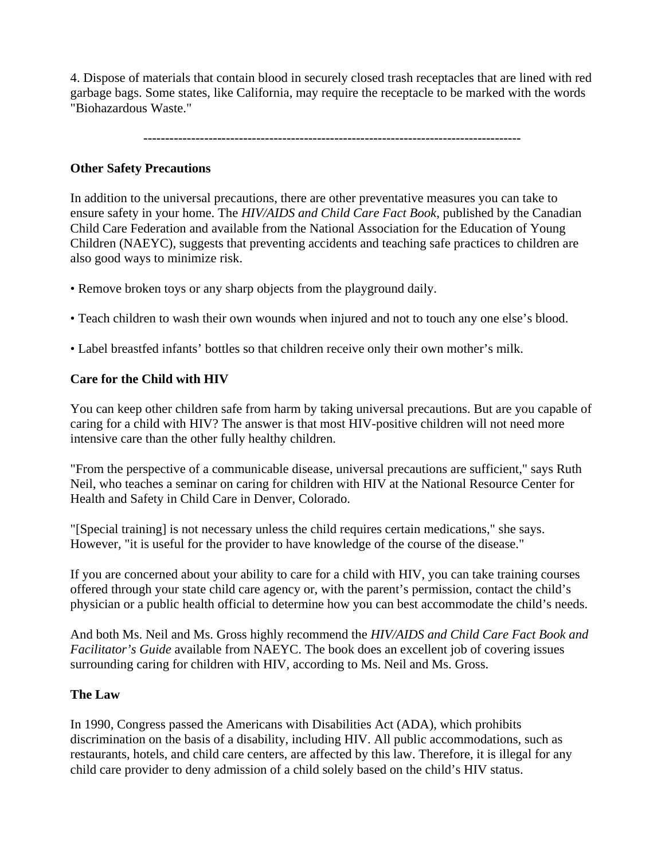4. Dispose of materials that contain blood in securely closed trash receptacles that are lined with red garbage bags. Some states, like California, may require the receptacle to be marked with the words "Biohazardous Waste."

**---------------------------------------------------------------------------------------**

# **Other Safety Precautions**

In addition to the universal precautions, there are other preventative measures you can take to ensure safety in your home. The *HIV/AIDS and Child Care Fact Book*, published by the Canadian Child Care Federation and available from the National Association for the Education of Young Children (NAEYC), suggests that preventing accidents and teaching safe practices to children are also good ways to minimize risk.

- Remove broken toys or any sharp objects from the playground daily.
- Teach children to wash their own wounds when injured and not to touch any one else's blood.
- Label breastfed infants' bottles so that children receive only their own mother's milk.

# **Care for the Child with HIV**

You can keep other children safe from harm by taking universal precautions. But are you capable of caring for a child with HIV? The answer is that most HIV-positive children will not need more intensive care than the other fully healthy children.

"From the perspective of a communicable disease, universal precautions are sufficient," says Ruth Neil, who teaches a seminar on caring for children with HIV at the National Resource Center for Health and Safety in Child Care in Denver, Colorado.

"[Special training] is not necessary unless the child requires certain medications," she says. However, "it is useful for the provider to have knowledge of the course of the disease."

If you are concerned about your ability to care for a child with HIV, you can take training courses offered through your state child care agency or, with the parent's permission, contact the child's physician or a public health official to determine how you can best accommodate the child's needs.

And both Ms. Neil and Ms. Gross highly recommend the *HIV/AIDS and Child Care Fact Book and Facilitator's Guide* available from NAEYC. The book does an excellent job of covering issues surrounding caring for children with HIV, according to Ms. Neil and Ms. Gross.

# **The Law**

In 1990, Congress passed the Americans with Disabilities Act (ADA), which prohibits discrimination on the basis of a disability, including HIV. All public accommodations, such as restaurants, hotels, and child care centers, are affected by this law. Therefore, it is illegal for any child care provider to deny admission of a child solely based on the child's HIV status.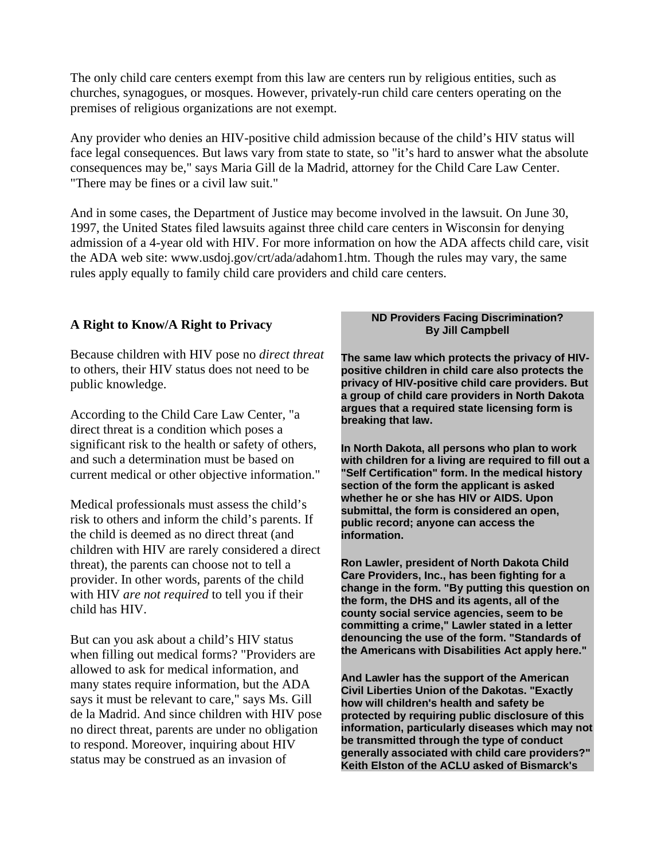The only child care centers exempt from this law are centers run by religious entities, such as churches, synagogues, or mosques. However, privately-run child care centers operating on the premises of religious organizations are not exempt.

Any provider who denies an HIV-positive child admission because of the child's HIV status will face legal consequences. But laws vary from state to state, so "it's hard to answer what the absolute consequences may be," says Maria Gill de la Madrid, attorney for the Child Care Law Center. "There may be fines or a civil law suit."

And in some cases, the Department of Justice may become involved in the lawsuit. On June 30, 1997, the United States filed lawsuits against three child care centers in Wisconsin for denying admission of a 4-year old with HIV. For more information on how the ADA affects child care, visit the ADA web site: www.usdoj.gov/crt/ada/adahom1.htm. Though the rules may vary, the same rules apply equally to family child care providers and child care centers.

#### **A Right to Know/A Right to Privacy**

Because children with HIV pose no *direct threat* to others, their HIV status does not need to be public knowledge.

According to the Child Care Law Center, "a direct threat is a condition which poses a significant risk to the health or safety of others, and such a determination must be based on current medical or other objective information."

Medical professionals must assess the child's risk to others and inform the child's parents. If the child is deemed as no direct threat (and children with HIV are rarely considered a direct threat), the parents can choose not to tell a provider. In other words, parents of the child with HIV *are not required* to tell you if their child has HIV.

But can you ask about a child's HIV status when filling out medical forms? "Providers are allowed to ask for medical information, and many states require information, but the ADA says it must be relevant to care," says Ms. Gill de la Madrid. And since children with HIV pose no direct threat, parents are under no obligation to respond. Moreover, inquiring about HIV status may be construed as an invasion of

#### **ND Providers Facing Discrimination? By Jill Campbell**

**The same law which protects the privacy of HIVpositive children in child care also protects the privacy of HIV-positive child care providers. But a group of child care providers in North Dakota argues that a required state licensing form is breaking that law.** 

**In North Dakota, all persons who plan to work with children for a living are required to fill out a "Self Certification" form. In the medical history section of the form the applicant is asked whether he or she has HIV or AIDS. Upon submittal, the form is considered an open, public record; anyone can access the information.** 

**Ron Lawler, president of North Dakota Child Care Providers, Inc., has been fighting for a change in the form. "By putting this question on the form, the DHS and its agents, all of the county social service agencies, seem to be committing a crime," Lawler stated in a letter denouncing the use of the form. "Standards of the Americans with Disabilities Act apply here."**

**And Lawler has the support of the American Civil Liberties Union of the Dakotas. "Exactly how will children's health and safety be protected by requiring public disclosure of this information, particularly diseases which may not be transmitted through the type of conduct generally associated with child care providers?" Keith Elston of the ACLU asked of Bismarck's**